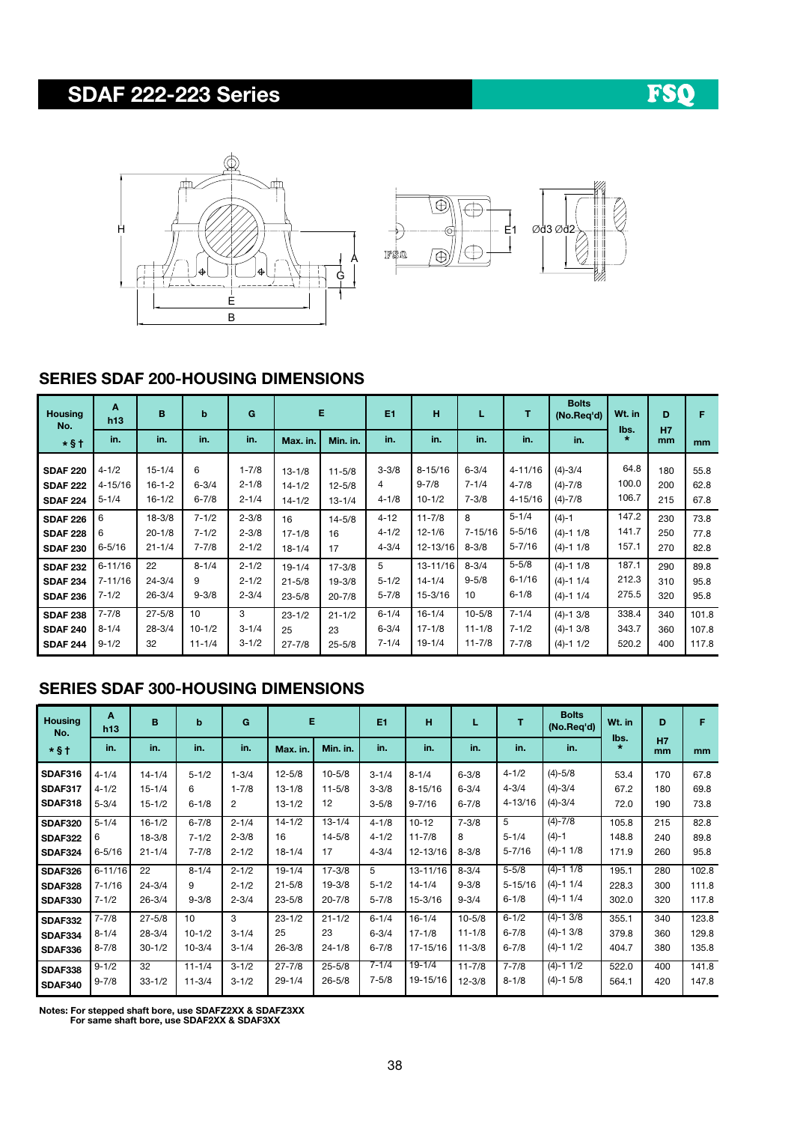# SDAF 222-223 Series





#### SERIES SDAF 200-HOUSING DIMENSIONS

| <b>Housing</b><br>No. | A<br>h13    | B          | b          | G         |            | Е          | E1        | н           | L           | т           | <b>Bolts</b><br>(No.Reg'd) | Wt. in | D<br>H7 | F             |
|-----------------------|-------------|------------|------------|-----------|------------|------------|-----------|-------------|-------------|-------------|----------------------------|--------|---------|---------------|
| $*$ §†                | in.         | in.        | in.        | in.       | Max. in.   | Min. in.   | in.       | in.         | in.         | in.         | in.                        | lbs.   | mm      | <sub>mm</sub> |
| <b>SDAF 220</b>       | $4 - 1/2$   | $15 - 1/4$ | 6          | $1 - 7/8$ | $13 - 1/8$ | $11 - 5/8$ | $3 - 3/8$ | $8 - 15/16$ | $6 - 3/4$   | $4 - 11/16$ | $(4) - 3/4$                | 64.8   | 180     | 55.8          |
| <b>SDAF 222</b>       | $4 - 15/16$ | $16-1-2$   | $6 - 3/4$  | $2 - 1/8$ | $14 - 1/2$ | $12 - 5/8$ | 4         | $9 - 7/8$   | $7 - 1/4$   | $4 - 7/8$   | $(4) - 7/8$                | 100.0  | 200     | 62.8          |
| <b>SDAF 224</b>       | $5 - 1/4$   | $16 - 1/2$ | $6 - 7/8$  | $2 - 1/4$ | $14 - 1/2$ | $13 - 1/4$ | $4 - 1/8$ | $10 - 1/2$  | $7 - 3/8$   | $4 - 15/16$ | $(4) - 7/8$                | 106.7  | 215     | 67.8          |
| <b>SDAF 226</b>       | 6           | $18 - 3/8$ | $7 - 1/2$  | $2 - 3/8$ | 16         | $14 - 5/8$ | $4 - 12$  | $11 - 7/8$  | 8           | $5 - 1/4$   | $(4)-1$                    | 147.2  | 230     | 73.8          |
| <b>SDAF 228</b>       | 6           | $20 - 1/8$ | $7 - 1/2$  | $2 - 3/8$ | $17 - 1/8$ | 16         | $4 - 1/2$ | $12 - 1/6$  | $7 - 15/16$ | $5 - 5/16$  | $(4)-1$ 1/8                | 141.7  | 250     | 77.8          |
| <b>SDAF 230</b>       | $6 - 5/16$  | $21 - 1/4$ | $7 - 7/8$  | $2 - 1/2$ | $18 - 1/4$ | 17         | $4 - 3/4$ | 12-13/16    | $8 - 3/8$   | $5 - 7/16$  | $(4)-1$ 1/8                | 157.1  | 270     | 82.8          |
| <b>SDAF 232</b>       | $6 - 11/16$ | 22         | $8 - 1/4$  | $2 - 1/2$ | $19 - 1/4$ | $17 - 3/8$ | 5         | 13-11/16    | $8 - 3/4$   | $5 - 5/8$   | $(4)-1$ 1/8                | 187.1  | 290     | 89.8          |
| <b>SDAF 234</b>       | $7 - 11/16$ | $24 - 3/4$ | 9          | $2 - 1/2$ | $21 - 5/8$ | $19 - 3/8$ | $5 - 1/2$ | $14 - 1/4$  | $9 - 5/8$   | $6 - 1/16$  | $(4)-1$ 1/4                | 212.3  | 310     | 95.8          |
| <b>SDAF 236</b>       | $7 - 1/2$   | $26 - 3/4$ | $9 - 3/8$  | $2 - 3/4$ | $23 - 5/8$ | $20 - 7/8$ | $5 - 7/8$ | 15-3/16     | 10          | $6 - 1/8$   | $(4)-1$ 1/4                | 275.5  | 320     | 95.8          |
| <b>SDAF 238</b>       | $7 - 7/8$   | $27 - 5/8$ | 10         | 3         | $23 - 1/2$ | $21 - 1/2$ | $6 - 1/4$ | $16 - 1/4$  | $10 - 5/8$  | $7 - 1/4$   | $(4)-1$ 3/8                | 338.4  | 340     | 101.8         |
| <b>SDAF 240</b>       | $8 - 1/4$   | $28 - 3/4$ | $10 - 1/2$ | $3 - 1/4$ | 25         | 23         | $6 - 3/4$ | $17 - 1/8$  | $11 - 1/8$  | $7 - 1/2$   | $(4)-1$ 3/8                | 343.7  | 360     | 107.8         |
| <b>SDAF 244</b>       | $9 - 1/2$   | 32         | $11 - 1/4$ | $3 - 1/2$ | $27 - 7/8$ | $25 - 5/8$ | $7 - 1/4$ | $19 - 1/4$  | $11 - 7/8$  | $7 - 7/8$   | $(4)-1$ 1/2                | 520.2  | 400     | 117.8         |

### SERIES SDAF 300-HOUSING DIMENSIONS

| <b>Housing</b><br>No. | A<br>h13    | B          | $\mathbf b$ | G         | Е          |            | E1        | H          |            | т           | <b>Bolts</b><br>(No.Reg'd) | Wt. in          | D               | F             |
|-----------------------|-------------|------------|-------------|-----------|------------|------------|-----------|------------|------------|-------------|----------------------------|-----------------|-----------------|---------------|
| $*$ §†                | in.         | in.        | in.         | in.       | Max. in.   | Min. in.   | in.       | in.        | in.        | in.         | in.                        | lbs.<br>$\star$ | <b>H7</b><br>mm | <sub>mm</sub> |
| <b>SDAF316</b>        | $4 - 1/4$   | $14 - 1/4$ | $5 - 1/2$   | $1 - 3/4$ | $12 - 5/8$ | $10 - 5/8$ | $3 - 1/4$ | $8 - 1/4$  | $6 - 3/8$  | $4 - 1/2$   | $(4) - 5/8$                | 53.4            | 170             | 67.8          |
| <b>SDAF317</b>        | $4 - 1/2$   | $15 - 1/4$ | 6           | $1 - 7/8$ | $13 - 1/8$ | $11 - 5/8$ | $3 - 3/8$ | 8-15/16    | $6 - 3/4$  | $4 - 3/4$   | $(4) - 3/4$                | 67.2            | 180             | 69.8          |
| <b>SDAF318</b>        | $5 - 3/4$   | $15 - 1/2$ | $6 - 1/8$   | 2         | $13 - 1/2$ | 12         | $3 - 5/8$ | $9 - 7/16$ | $6 - 7/8$  | 4-13/16     | $(4) - 3/4$                | 72.0            | 190             | 73.8          |
| <b>SDAF320</b>        | $5 - 1/4$   | $16 - 1/2$ | $6 - 7/8$   | $2 - 1/4$ | $14 - 1/2$ | $13 - 1/4$ | $4 - 1/8$ | $10 - 12$  | $7 - 3/8$  | 5           | $(4) - 7/8$                | 105.8           | 215             | 82.8          |
| <b>SDAF322</b>        | 6           | $18 - 3/8$ | $7 - 1/2$   | $2 - 3/8$ | 16         | $14 - 5/8$ | $4 - 1/2$ | $11 - 7/8$ | 8          | $5 - 1/4$   | $(4)-1$                    | 148.8           | 240             | 89.8          |
| <b>SDAF324</b>        | $6 - 5/16$  | $21 - 1/4$ | $7 - 7/8$   | $2 - 1/2$ | $18 - 1/4$ | 17         | $4 - 3/4$ | 12-13/16   | $8 - 3/8$  | $5 - 7/16$  | $(4)-1$ 1/8                | 171.9           | 260             | 95.8          |
| <b>SDAF326</b>        | $6 - 11/16$ | 22         | $8 - 1/4$   | $2 - 1/2$ | $19 - 1/4$ | $17 - 3/8$ | 5         | 13-11/16   | $8 - 3/4$  | $5 - 5/8$   | $(4) - 11/8$               | 195.1           | 280             | 102.8         |
| <b>SDAF328</b>        | $7 - 1/16$  | $24 - 3/4$ | 9           | $2 - 1/2$ | $21 - 5/8$ | $19 - 3/8$ | $5 - 1/2$ | $14 - 1/4$ | $9 - 3/8$  | $5 - 15/16$ | $(4)-1$ 1/4                | 228.3           | 300             | 111.8         |
| <b>SDAF330</b>        | $7 - 1/2$   | $26 - 3/4$ | $9 - 3/8$   | $2 - 3/4$ | $23 - 5/8$ | $20 - 7/8$ | $5 - 7/8$ | 15-3/16    | $9 - 3/4$  | $6 - 1/8$   | $(4)-1$ 1/4                | 302.0           | 320             | 117.8         |
| <b>SDAF332</b>        | $7 - 7/8$   | $27 - 5/8$ | 10          | 3         | $23 - 1/2$ | $21 - 1/2$ | $6 - 1/4$ | $16 - 1/4$ | $10 - 5/8$ | $6 - 1/2$   | $(4) - 1$ 3/8              | 355.1           | 340             | 123.8         |
| <b>SDAF334</b>        | $8 - 1/4$   | $28 - 3/4$ | $10 - 1/2$  | $3 - 1/4$ | 25         | 23         | $6 - 3/4$ | $17 - 1/8$ | $11 - 1/8$ | $6 - 7/8$   | $(4)-1$ 3/8                | 379.8           | 360             | 129.8         |
| <b>SDAF336</b>        | $8 - 7/8$   | $30 - 1/2$ | $10 - 3/4$  | $3 - 1/4$ | $26 - 3/8$ | $24 - 1/8$ | $6 - 7/8$ | 17-15/16   | $11 - 3/8$ | $6 - 7/8$   | $(4)-1$ 1/2                | 404.7           | 380             | 135.8         |
| <b>SDAF338</b>        | $9 - 1/2$   | 32         | $11 - 1/4$  | $3 - 1/2$ | $27 - 7/8$ | $25 - 5/8$ | $7 - 1/4$ | $19 - 1/4$ | $11 - 7/8$ | $7 - 7/8$   | $(4) - 11/2$               | 522.0           | 400             | 141.8         |
| <b>SDAF340</b>        | $9 - 7/8$   | $33 - 1/2$ | $11 - 3/4$  | $3 - 1/2$ | $29 - 1/4$ | $26 - 5/8$ | $7 - 5/8$ | 19-15/16   | $12 - 3/8$ | $8 - 1/8$   | $(4)-1$ 5/8                | 564.1           | 420             | 147.8         |

Notes: For stepped shaft bore, use SDAFZ2XX & SDAFZ3XX For same shaft bore, use SDAF2XX & SDAF3XX

FSQ